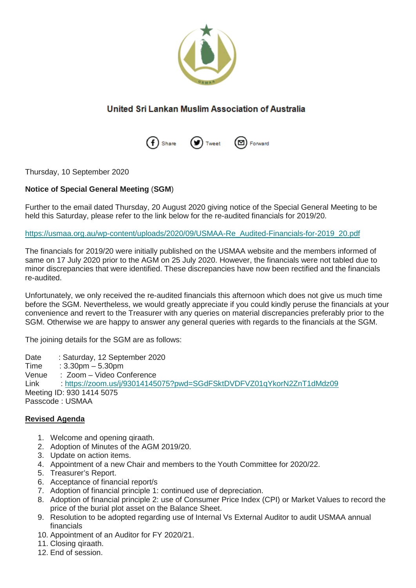

## United Sri Lankan Muslim Association of Australia



Thursday, 10 September 2020

## **Notice of Special General Meeting** (**SGM**)

Further to the email dated Thursday, 20 August 2020 giving notice of the Special General Meeting to be held this Saturday, please refer to the link below for the re-audited financials for 2019/20.

[https://usmaa.org.au/wp-content/uploads/2020/09/USMAA-Re\\_Audited-Financials-for-2019\\_20.pdf](https://usmaa.org.au/wp-content/uploads/2020/09/USMAA-Re_Audited-Financials-for-2019_20.pdf?mc_cid=c3d98a7107&mc_eid=%5bUNIQID%5d)

The financials for 2019/20 were initially published on the USMAA website and the members informed of same on 17 July 2020 prior to the AGM on 25 July 2020. However, the financials were not tabled due to minor discrepancies that were identified. These discrepancies have now been rectified and the financials re-audited.

Unfortunately, we only received the re-audited financials this afternoon which does not give us much time before the SGM. Nevertheless, we would greatly appreciate if you could kindly peruse the financials at your convenience and revert to the Treasurer with any queries on material discrepancies preferably prior to the SGM. Otherwise we are happy to answer any general queries with regards to the financials at the SGM.

The joining details for the SGM are as follows:

Date : Saturday, 12 September 2020<br>Time : 3.30pm – 5.30pm

Time  $: 3.30 \text{pm} - 5.30 \text{pm}$ <br>Venue  $: 700 \text{m} - \text{Video C}$ 

: Zoom – Video Conference

Link : [https://zoom.us/j/93014145075?pwd=SGdFSktDVDFVZ01qYkorN2ZnT1dMdz09](https://usmaa.us9.list-manage.com/track/click?u=b88d107d27f782f7e7401e17c&id=7293e5b819&e=94dae6fe27&mc_cid=c3d98a7107&mc_eid=%5bUNIQID%5d) Meeting ID: 930 1414 5075 Passcode : USMAA

## **Revised Agenda**

- 1. Welcome and opening qiraath.
- 2. Adoption of Minutes of the AGM 2019/20.
- 3. Update on action items.
- 4. Appointment of a new Chair and members to the Youth Committee for 2020/22.
- 5. Treasurer's Report.
- 6. Acceptance of financial report/s
- 7. Adoption of financial principle 1: continued use of depreciation.
- 8. Adoption of financial principle 2: use of Consumer Price Index (CPI) or Market Values to record the price of the burial plot asset on the Balance Sheet.
- 9. Resolution to be adopted regarding use of Internal Vs External Auditor to audit USMAA annual financials
- 10. Appointment of an Auditor for FY 2020/21.
- 11. Closing qiraath.
- 12. End of session.